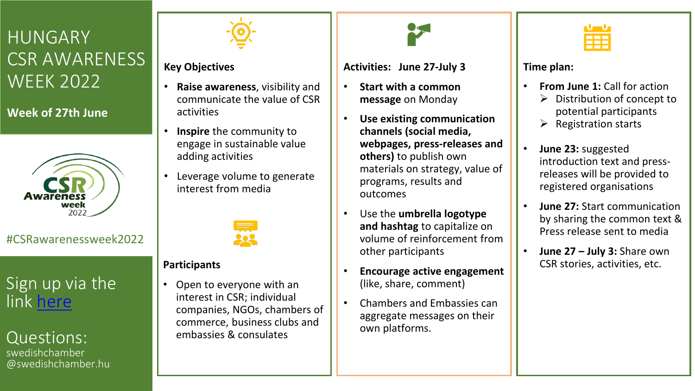# **HUNGARY** CSR AWARENESS WEEK 2022

**Week of 27th June**



#CSRawarenessweek2022

# Sign up via the link [here](https://forms.gle/UtDB8jqsJwuBovjZ6)

## Questions:

swedishchamber @swedishchamber.hu



### **Key Objectives**

- **Raise awareness**, visibility and communicate the value of CSR activities
- **Inspire** the community to engage in sustainable value adding activities
- Leverage volume to generate interest from media



#### **Participants**

• Open to everyone with an interest in CSR; individual companies, NGOs, chambers of commerce, business clubs and embassies & consulates

#### **Activities: June 27-July 3**

- **Start with a common message** on Monday
- **Use existing communication channels (social media, webpages, press-releases and others)** to publish own materials on strategy, value of programs, results and outcomes
- Use the **umbrella logotype and hashtag** to capitalize on volume of reinforcement from other participants
- **Encourage active engagement**  (like, share, comment)
- Chambers and Embassies can aggregate messages on their own platforms.



#### **Time plan:**

- **From June 1:** Call for action
	- $\triangleright$  Distribution of concept to potential participants
	- ➢ Registration starts
- **June 23:** suggested introduction text and pressreleases will be provided to registered organisations
- **June 27:** Start communication by sharing the common text & Press release sent to media
- **June 27 – July 3:** Share own CSR stories, activities, etc.